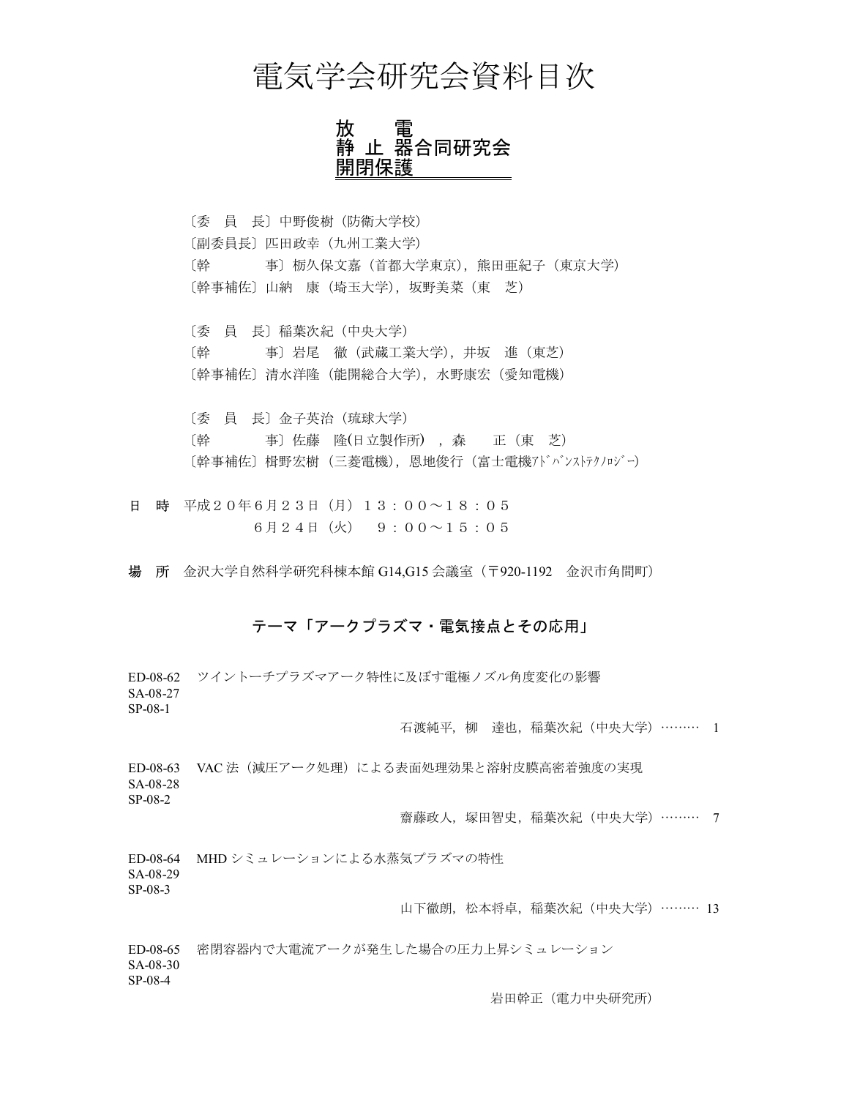## 電気学会研究会資料目次

放 電 静 止 器合同研究会 開閉保護

[委員長]中野俊樹(防衛大学校) 〔副委員長〕匹田政幸(九州工業大学) 〔幹 事〕栃久保文嘉(首都大学東京),熊田亜紀子(東京大学) 〔幹事補佐〕山納 康(埼玉大学), 坂野美菜(東 芝)

〔委 員 長〕稲葉次紀 (中央大学) 〔幹 事〕岩尾 徹 (武蔵工業大学), 井坂 進 (東芝) 〔幹事補佐〕清水洋隆(能開総合大学),水野康宏(愛知電機)

〔委 員 長〕金子英治 (琉球大学) 〔幹 事〕佐藤 隆(日立製作所), 森 正 (東 芝) 〔幹事補佐〕楫野宏樹(三菱電機),恩地俊行(富士電機アドバンストテクノロジー)

日 時 平成20年6月23日 (月) 13:00~18:05  $6$ 月24日 (火) 9:00~15:05

場 所 金沢大学自然科学研究科棟本館 G14,G15 会議室 (〒920-1192 金沢市角間町)

## テーマ「アークプラズマ・電気接点とその応用」

ED-08-62 ツイントーチプラズマアーク特性に及ぼす電極ノズル角度変化の影響 SA-08-27 SP-08-1

石渡純平,柳 達也,稲葉次紀 (中央大学) ……… 1

ED-08-63 VAC 法 (減圧アーク処理)による表面処理効果と溶射皮膜高密着強度の実現 SA-08-28 SP-08-2

齋藤政人, 塚田智史, 稲葉次紀 (中央大学) ……… 7

ED-08-64 MHD シミュレーションによる水蒸気プラズマの特性

SA-08-29 SP-08-3

山下徹朗, 松本将卓, 稲葉次紀 (中央大学) ……… 13

ED-08-65 密閉容器内で大電流アークが発生した場合の圧力上昇シミュレーション SA-08-30 SP-08-4

岩田幹正 (電力中央研究所)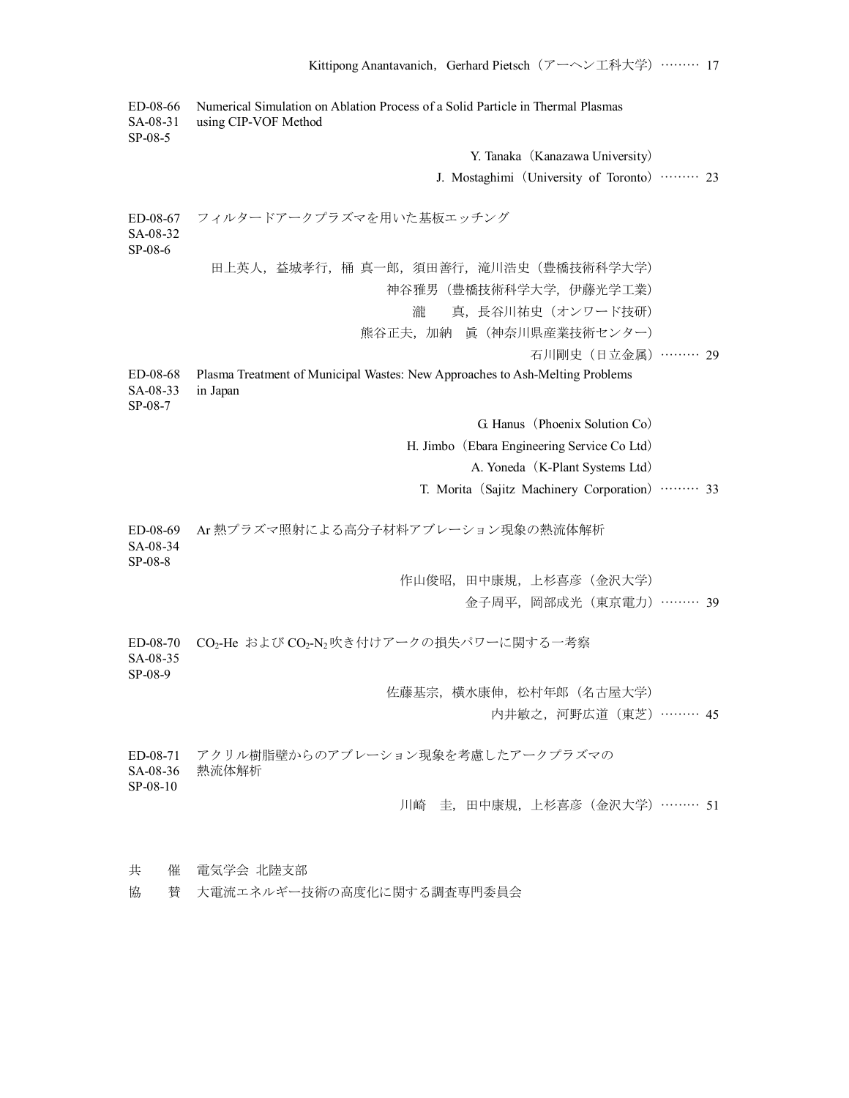ED-08-66 Numerical Simulation on Ablation Process of a Solid Particle in Thermal Plasmas SA-08-31 using CIP-VOF Method SP-08-5 Y. Tanaka (Kanazawa University) J. Mostaghimi (University of Toronto) ……… 23 ED-08-67 フィルタードアークプラズマを用いた基板エッチング SA-08-32 SP-08-6 田上英人,益城孝行,桶 真一郎, 須田善行, 滝川浩史(豊橋技術科学大学) 神谷雅男(豊橋技術科学大学,伊藤光学工業) 瀧 真,長谷川祐史 (オンワード技研) 熊谷正夫,加納 眞 (神奈川県産業技術センター) 石川剛史 (日立金属) ……… 29 ED-08-68 Plasma Treatment of Municipal Wastes: New Approaches to Ash-Melting Problems SA-08-33 in Japan SP-08-7  $G$ . Hanus (Phoenix Solution Co) H. Jimbo (Ebara Engineering Service Co Ltd) A. Yoneda (K-Plant Systems Ltd) T. Morita (Sajitz Machinery Corporation) ……… 33 ED-08-69 Ar 熱プラズマ照射による㜞分子材料アブレーション現象の熱流体解析 SA-08-34 SP-08-8 作山俊昭,田中康規,上杉喜彦(金沢大学) 金子周平, 岡部成光 (東京電力) ……… 39 ED-08-70 CO<sub>2</sub>-He および CO<sub>2</sub>-N<sub>2</sub>吹き付けアークの損失パワーに関する一考察 SA-08-35 SP-08-9 佐藤基宗,横水康伸,松村年郎(名古屋大学) 内井敏之, 河野広道 (東芝) ……… 45 ED-08-71 アクリル樹脂壁からのアブレーション現象を考慮したアークプラズマの SA-08-36 熱流体解析 SP-08-10 川崎 丰, 田中康規, 上杉喜彦 (金沢大学) ……… 51 共 催 電気学会 北陸支部

協 賛 大電流エネルギー技術の高度化に関する調査専門委員会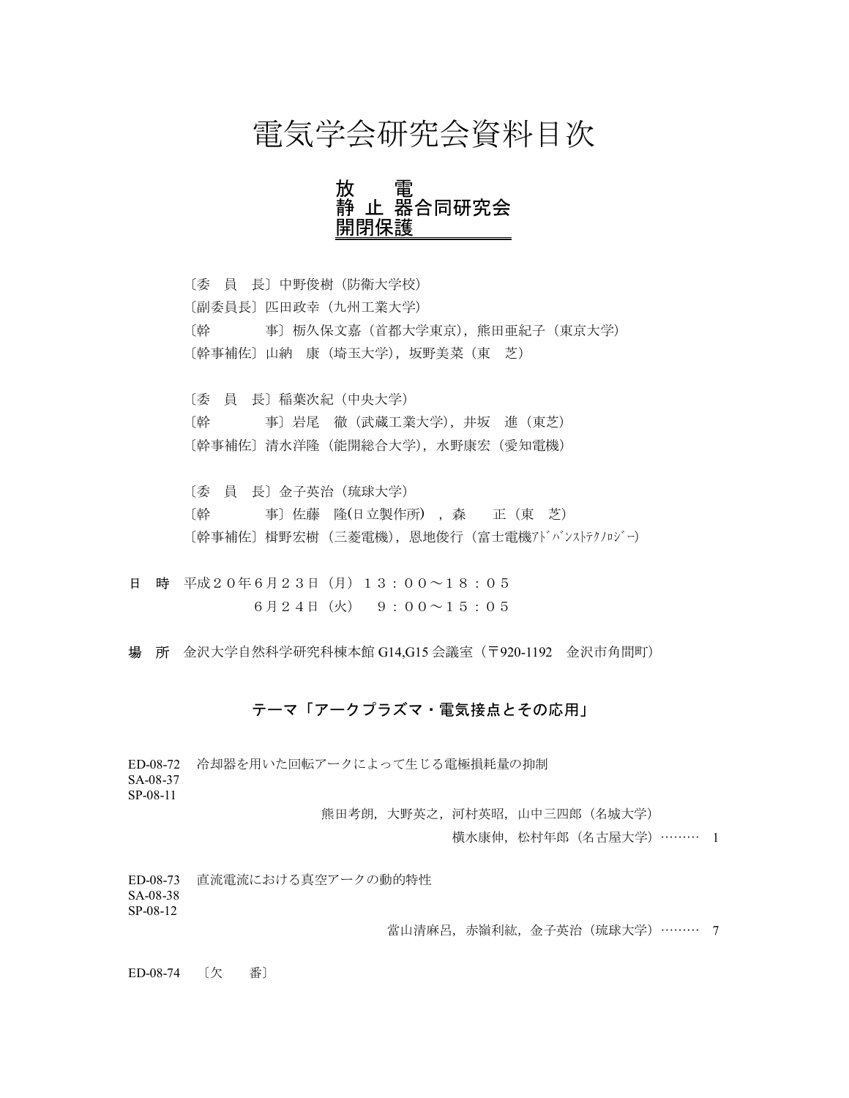## 電気学会研究会資料目次

放 電 静 止 器合同研究会 開閉保護

[委員長]中野俊樹(防衛大学校) 〔副委員長〕匹田政幸(九州工業大学) 〔幹 事〕栃久保文嘉(首都大学東京),熊田亜紀子(東京大学) 〔幹事補佐〕山納 康 (埼玉大学), 坂野美菜(東 芝)

〔委 員 長〕稲葉次紀(中央大学) 〔幹 事〕岩尾 徹 (武蔵工業大学),井坂 進 (東芝) 〔幹事補佐〕清水洋隆(能開総合大学),水野康宏(愛知電機)

〔委 員 長〕金子英治(琉球大学) 〔幹 事〕佐藤 隆(日立製作所), 森 正 (東芝) 〔幹事補佐〕楫野宏樹 (三菱電機),恩地俊行(富士電機アドバンストテクノロジー)

日 時 平成20年6月23日 (月) 13:00~18:05  $6$ 月24日 (火) 9:00~15:05

場 所 金沢大学自然科学研究科棟本館 G14,G15 会議室 (〒920-1192 金沢市角間町)

## テーマ「アークプラズマ・電気接点とその応用」

ED-08-72 冷却器を用いた回転アークによって生じる電極損耗量の抑制 SA-08-37

SP-08-11

熊田考朗, 大野英之, 河村英昭, 山中三四郎 (名城大学)

横水康伸,松村年郎(名古屋大学)……… 1

ED-08-73 直流電流における真空アークの動的特性

SA-08-38 SP-08-12

當山清麻呂, 赤嶺利紘, 金子英治 (琉球大学) ……… 7

ED-08-74 〔欠 番〕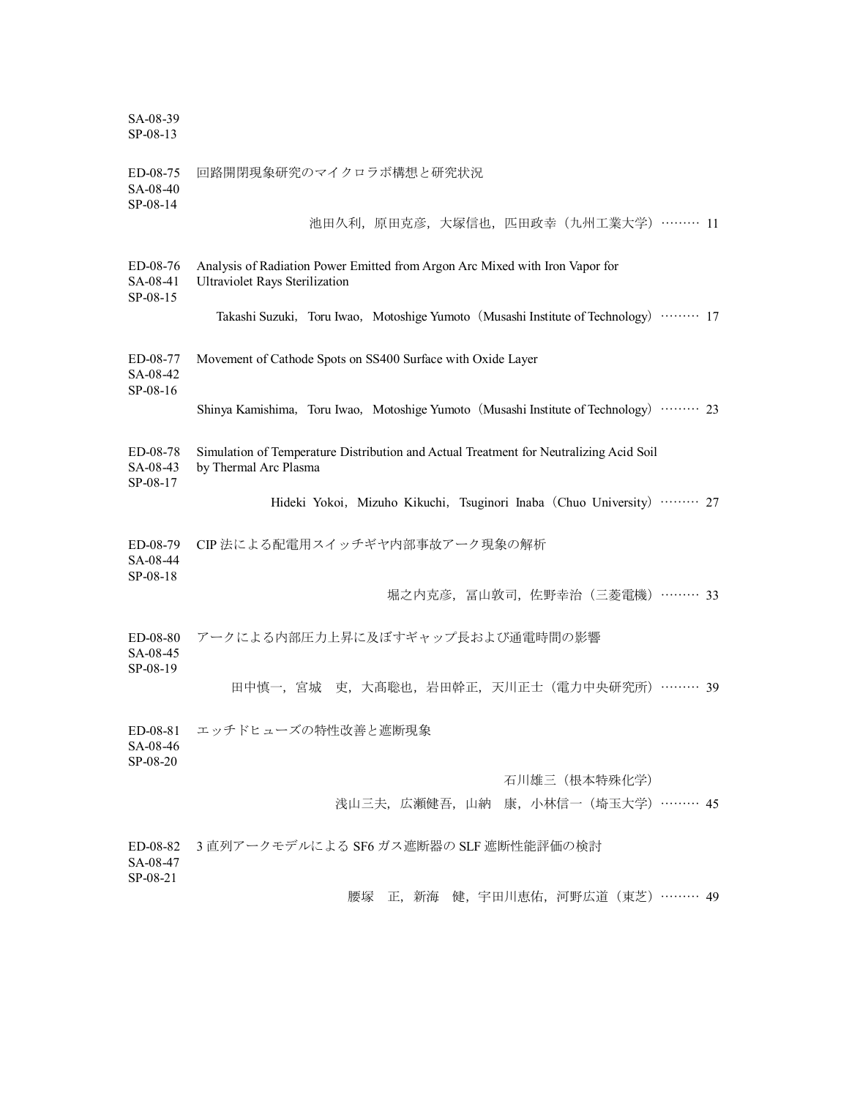SA-08-39 SP-08-13

| ED-08-75<br>SA-08-40<br>SP-08-14 | 回路開閉現象研究のマイクロラボ構想と研究状況                                                                                                |
|----------------------------------|-----------------------------------------------------------------------------------------------------------------------|
|                                  | 池田久利, 原田克彦, 大塚信也, 匹田政幸 (九州工業大学) ……… 11                                                                                |
| ED-08-76<br>SA-08-41<br>SP-08-15 | Analysis of Radiation Power Emitted from Argon Arc Mixed with Iron Vapor for<br><b>Ultraviolet Rays Sterilization</b> |
|                                  | Takashi Suzuki, Toru Iwao, Motoshige Yumoto (Musashi Institute of Technology) ……… 17                                  |
| ED-08-77<br>SA-08-42<br>SP-08-16 | Movement of Cathode Spots on SS400 Surface with Oxide Layer                                                           |
|                                  | Shinya Kamishima, Toru Iwao, Motoshige Yumoto (Musashi Institute of Technology) ……… 23                                |
| ED-08-78<br>SA-08-43<br>SP-08-17 | Simulation of Temperature Distribution and Actual Treatment for Neutralizing Acid Soil<br>by Thermal Arc Plasma       |
|                                  | Hideki Yokoi, Mizuho Kikuchi, Tsuginori Inaba (Chuo University)  27                                                   |
| ED-08-79<br>SA-08-44<br>SP-08-18 | CIP法による配電用スイッチギヤ内部事故アーク現象の解析                                                                                          |
|                                  | 堀之内克彦, 冨山敦司, 佐野幸治 (三菱電機) ……… 33                                                                                       |
| ED-08-80<br>SA-08-45<br>SP-08-19 | アークによる内部圧力上昇に及ぼすギャップ長および通電時間の影響                                                                                       |
|                                  | 田中慎一, 宮城 吏, 大髙聡也, 岩田幹正, 天川正士 (電力中央研究所) ……… 39                                                                         |
| ED-08-81<br>SA-08-46<br>SP-08-20 | エッチドヒューズの特性改善と遮断現象                                                                                                    |
|                                  | 石川雄三 (根本特殊化学)                                                                                                         |
|                                  | 浅山三夫, 広瀬健吾, 山納 康, 小林信一 (埼玉大学) ……… 45                                                                                  |
| ED-08-82<br>SA-08-47<br>SP-08-21 | 3直列アークモデルによる SF6 ガス遮断器の SLF 遮断性能評価の検討                                                                                 |
|                                  | 正,新海 健,宇田川恵佑,河野広道(東芝)……… 49<br>腰塚                                                                                     |